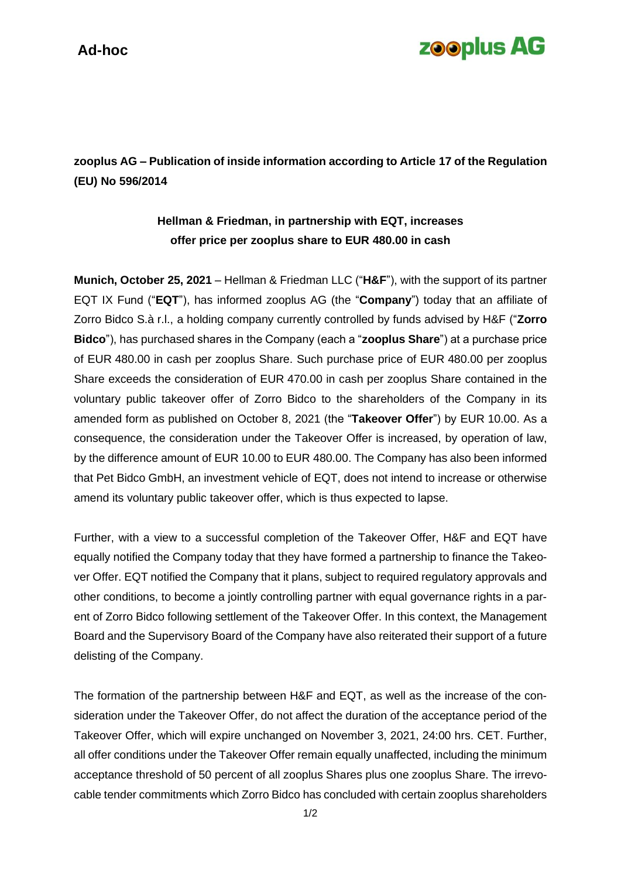## **zooplus AG**

**zooplus AG – Publication of inside information according to Article 17 of the Regulation (EU) No 596/2014**

## **Hellman & Friedman, in partnership with EQT, increases offer price per zooplus share to EUR 480.00 in cash**

**Munich, October 25, 2021** – Hellman & Friedman LLC ("**H&F**"), with the support of its partner EQT IX Fund ("**EQT**"), has informed zooplus AG (the "**Company**") today that an affiliate of Zorro Bidco S.à r.l., a holding company currently controlled by funds advised by H&F ("**Zorro Bidco**"), has purchased shares in the Company (each a "**zooplus Share**") at a purchase price of EUR 480.00 in cash per zooplus Share. Such purchase price of EUR 480.00 per zooplus Share exceeds the consideration of EUR 470.00 in cash per zooplus Share contained in the voluntary public takeover offer of Zorro Bidco to the shareholders of the Company in its amended form as published on October 8, 2021 (the "**Takeover Offer**") by EUR 10.00. As a consequence, the consideration under the Takeover Offer is increased, by operation of law, by the difference amount of EUR 10.00 to EUR 480.00. The Company has also been informed that Pet Bidco GmbH, an investment vehicle of EQT, does not intend to increase or otherwise amend its voluntary public takeover offer, which is thus expected to lapse.

Further, with a view to a successful completion of the Takeover Offer, H&F and EQT have equally notified the Company today that they have formed a partnership to finance the Takeover Offer. EQT notified the Company that it plans, subject to required regulatory approvals and other conditions, to become a jointly controlling partner with equal governance rights in a parent of Zorro Bidco following settlement of the Takeover Offer. In this context, the Management Board and the Supervisory Board of the Company have also reiterated their support of a future delisting of the Company.

The formation of the partnership between H&F and EQT, as well as the increase of the consideration under the Takeover Offer, do not affect the duration of the acceptance period of the Takeover Offer, which will expire unchanged on November 3, 2021, 24:00 hrs. CET. Further, all offer conditions under the Takeover Offer remain equally unaffected, including the minimum acceptance threshold of 50 percent of all zooplus Shares plus one zooplus Share. The irrevocable tender commitments which Zorro Bidco has concluded with certain zooplus shareholders